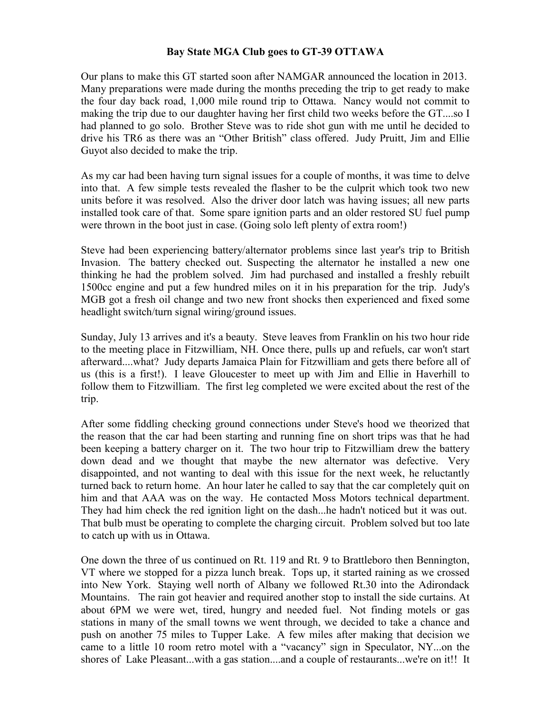## **Bay State MGA Club goes to GT-39 OTTAWA**

Our plans to make this GT started soon after NAMGAR announced the location in 2013. Many preparations were made during the months preceding the trip to get ready to make the four day back road, 1,000 mile round trip to Ottawa. Nancy would not commit to making the trip due to our daughter having her first child two weeks before the GT....so I had planned to go solo. Brother Steve was to ride shot gun with me until he decided to drive his TR6 as there was an "Other British" class offered. Judy Pruitt, Jim and Ellie Guyot also decided to make the trip.

As my car had been having turn signal issues for a couple of months, it was time to delve into that. A few simple tests revealed the flasher to be the culprit which took two new units before it was resolved. Also the driver door latch was having issues; all new parts installed took care of that. Some spare ignition parts and an older restored SU fuel pump were thrown in the boot just in case. (Going solo left plenty of extra room!)

Steve had been experiencing battery/alternator problems since last year's trip to British Invasion. The battery checked out. Suspecting the alternator he installed a new one thinking he had the problem solved. Jim had purchased and installed a freshly rebuilt 1500cc engine and put a few hundred miles on it in his preparation for the trip. Judy's MGB got a fresh oil change and two new front shocks then experienced and fixed some headlight switch/turn signal wiring/ground issues.

Sunday, July 13 arrives and it's a beauty. Steve leaves from Franklin on his two hour ride to the meeting place in Fitzwilliam, NH. Once there, pulls up and refuels, car won't start afterward....what? Judy departs Jamaica Plain for Fitzwilliam and gets there before all of us (this is a first!). I leave Gloucester to meet up with Jim and Ellie in Haverhill to follow them to Fitzwilliam. The first leg completed we were excited about the rest of the trip.

After some fiddling checking ground connections under Steve's hood we theorized that the reason that the car had been starting and running fine on short trips was that he had been keeping a battery charger on it. The two hour trip to Fitzwilliam drew the battery down dead and we thought that maybe the new alternator was defective. Very disappointed, and not wanting to deal with this issue for the next week, he reluctantly turned back to return home. An hour later he called to say that the car completely quit on him and that AAA was on the way. He contacted Moss Motors technical department. They had him check the red ignition light on the dash...he hadn't noticed but it was out. That bulb must be operating to complete the charging circuit. Problem solved but too late to catch up with us in Ottawa.

One down the three of us continued on Rt. 119 and Rt. 9 to Brattleboro then Bennington, VT where we stopped for a pizza lunch break. Tops up, it started raining as we crossed into New York. Staying well north of Albany we followed Rt.30 into the Adirondack Mountains. The rain got heavier and required another stop to install the side curtains. At about 6PM we were wet, tired, hungry and needed fuel. Not finding motels or gas stations in many of the small towns we went through, we decided to take a chance and push on another 75 miles to Tupper Lake. A few miles after making that decision we came to a little 10 room retro motel with a "vacancy" sign in Speculator, NY...on the shores of Lake Pleasant...with a gas station....and a couple of restaurants...we're on it!! It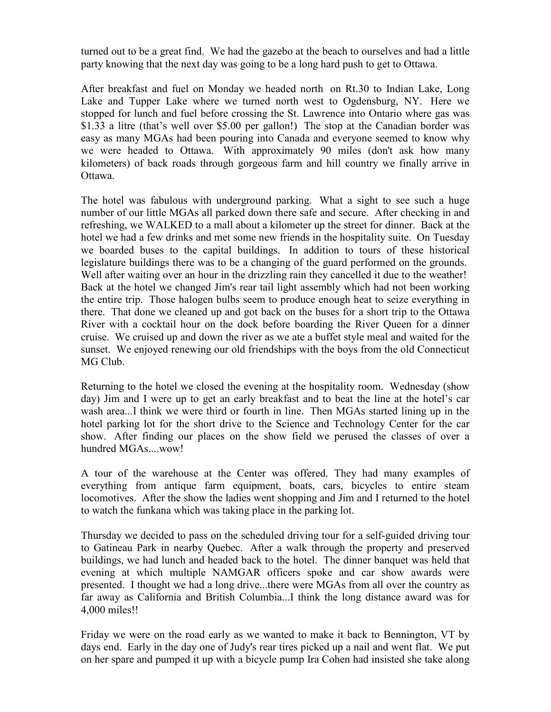turned out to be a great find. We had the gazebo at the beach to ourselves and had a little party knowing that the next day was going to be a long hard push to get to Ottawa.

After breakfast and fuel on Monday we headed north on Rt.30 to Indian Lake, Long Lake and Tupper Lake where we turned north west to Ogdensburg, NY. Here we stopped for lunch and fuel before crossing the St. Lawrence into Ontario where gas was \$1.33 a litre (that's well over \$5.00 per gallon!) The stop at the Canadian border was easy as many MGAs had been pouring into Canada and everyone seemed to know why we were headed to Ottawa. With approximately 90 miles (don't ask how many kilometers) of back roads through gorgeous farm and hill country we finally arrive in Ottawa.

The hotel was fabulous with underground parking. What a sight to see such a huge number of our little MGAs all parked down there safe and secure. After checking in and refreshing, we WALKED to a mall about a kilometer up the street for dinner. Back at the hotel we had a few drinks and met some new friends in the hospitality suite. On Tuesday we boarded buses to the capital buildings. In addition to tours of these historical legislature buildings there was to be a changing of the guard performed on the grounds. Well after waiting over an hour in the drizzling rain they cancelled it due to the weather! Back at the hotel we changed Jim's rear tail light assembly which had not been working the entire trip. Those halogen bulbs seem to produce enough heat to seize everything in there. That done we cleaned up and got back on the buses for a short trip to the Ottawa River with a cocktail hour on the dock before boarding the River Queen for a dinner cruise. We cruised up and down the river as we ate a buffet style meal and waited for the sunset. We enjoyed renewing our old friendships with the boys from the old Connecticut MG Club.

Returning to the hotel we closed the evening at the hospitality room. Wednesday (show day) Jim and I were up to get an early breakfast and to beat the line at the hotel's car wash area...I think we were third or fourth in line. Then MGAs started lining up in the hotel parking lot for the short drive to the Science and Technology Center for the car show. After finding our places on the show field we perused the classes of over a hundred MGAs....wow!

A tour of the warehouse at the Center was offered. They had many examples of everything from antique farm equipment, boats, cars, bicycles to entire steam locomotives. After the show the ladies went shopping and Jim and I returned to the hotel to watch the funkana which was taking place in the parking lot.

Thursday we decided to pass on the scheduled driving tour for a self-guided driving tour to Gatineau Park in nearby Quebec. After a walk through the property and preserved buildings, we had lunch and headed back to the hotel. The dinner banquet was held that evening at which multiple NAMGAR officers spoke and car show awards were presented. I thought we had a long drive...there were MGAs from all over the country as far away as California and British Columbia...I think the long distance award was for 4,000 miles!!

Friday we were on the road early as we wanted to make it back to Bennington, VT by days end. Early in the day one of Judy's rear tires picked up a nail and went flat. We put on her spare and pumped it up with a bicycle pump Ira Cohen had insisted she take along